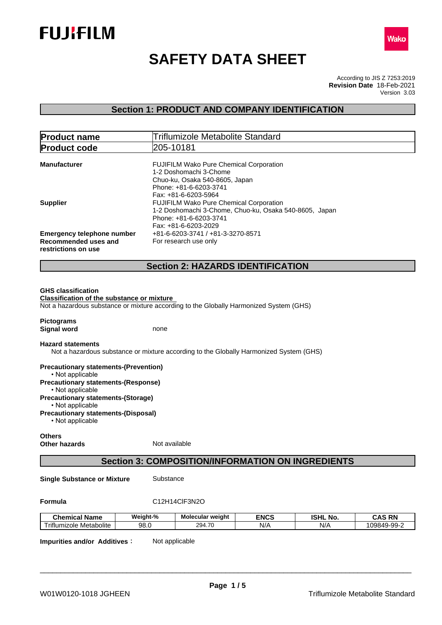



# **SAFETY DATA SHEET**

According to JIS Z 7253:2019 Version 3.03 **Revision Date** 18-Feb-2021

# **Section 1: PRODUCT AND COMPANY IDENTIFICATION**

| <b>Product name</b>                                                                          | <b>Triflumizole Metabolite Standard</b>                                                                                                                    |  |
|----------------------------------------------------------------------------------------------|------------------------------------------------------------------------------------------------------------------------------------------------------------|--|
| <b>Product code</b>                                                                          | 205-10181                                                                                                                                                  |  |
| <b>Manufacturer</b>                                                                          | FUJIFILM Wako Pure Chemical Corporation<br>1-2 Doshomachi 3-Chome<br>Chuo-ku, Osaka 540-8605, Japan<br>Phone: +81-6-6203-3741<br>Fax: +81-6-6203-5964      |  |
| <b>Supplier</b>                                                                              | <b>FUJIFILM Wako Pure Chemical Corporation</b><br>1-2 Doshomachi 3-Chome, Chuo-ku, Osaka 540-8605, Japan<br>Phone: +81-6-6203-3741<br>Fax: +81-6-6203-2029 |  |
| <b>Emergency telephone number</b><br><b>Recommended uses and</b><br>restrictions on use      | +81-6-6203-3741 / +81-3-3270-8571<br>For research use only                                                                                                 |  |
|                                                                                              | <b>Section 2: HAZARDS IDENTIFICATION</b>                                                                                                                   |  |
| <b>Classification of the substance or mixture</b><br><b>Pictograms</b><br><b>Signal word</b> | Not a hazardous substance or mixture according to the Globally Harmonized System (GHS)<br>none                                                             |  |
| <b>Hazard statements</b>                                                                     | Not a hazardous substance or mixture according to the Globally Harmonized System (GHS)                                                                     |  |
| <b>Precautionary statements-(Prevention)</b><br>• Not applicable                             |                                                                                                                                                            |  |
| <b>Precautionary statements-(Response)</b><br>• Not applicable                               |                                                                                                                                                            |  |
| <b>Precautionary statements-(Storage)</b><br>• Not applicable                                |                                                                                                                                                            |  |
| <b>Precautionary statements-(Disposal)</b><br>• Not applicable                               |                                                                                                                                                            |  |
| <b>Others</b><br>Other hazards                                                               | Not available                                                                                                                                              |  |

# **Section 3: COMPOSITION/INFORMATION ON INGREDIENTS**

**Single Substance or Mixture** Substance

# **Formula** C12H14ClF3N2O

| .<br><b>Chemical Name</b>                          | Weight-% | Molecular weight                     | <b>ENCS</b> | <b>ISHL</b><br>NO. | <b>RN</b><br>CAS |
|----------------------------------------------------|----------|--------------------------------------|-------------|--------------------|------------------|
| $- \cdot \cdot$<br>Metabolite<br>riflumizole<br>uc | 98.0     | $\rightarrow$<br>ົ<br>294.<br>7. I U | N/t         | N/F                | 109849-99        |

**Impurities and/or Additives:** Not applicable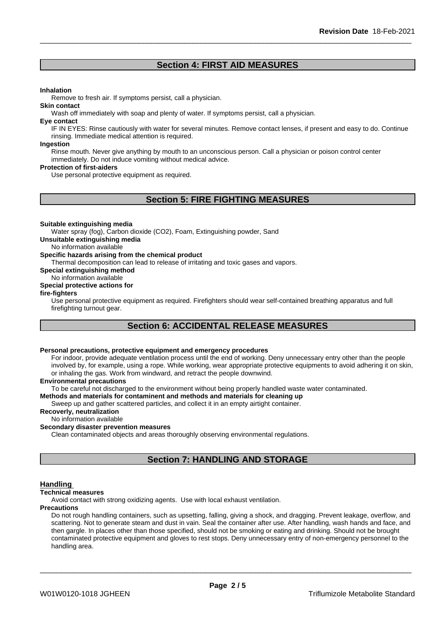# **Section 4: FIRST AID MEASURES**

#### **Inhalation**

Remove to fresh air. If symptoms persist, call a physician.

#### **Skin contact**

Wash off immediately with soap and plenty of water. If symptoms persist, call a physician.

#### **Eye contact**

IF IN EYES: Rinse cautiously with water for several minutes. Remove contact lenses, if present and easy to do. Continue rinsing. Immediate medical attention is required.

#### **Ingestion**

Rinse mouth. Never give anything by mouth to an unconscious person. Call a physician or poison control center immediately. Do not induce vomiting without medical advice.

#### **Protection of first-aiders**

Use personal protective equipment as required.

# **Section 5: FIRE FIGHTING MEASURES**

#### **Suitable extinguishing media**

Water spray (fog), Carbon dioxide (CO2), Foam, Extinguishing powder, Sand

**Unsuitable extinguishing media**

No information available

#### **Specific hazards arising from the chemical product**

Thermal decomposition can lead to release of irritating and toxic gases and vapors.

**Special extinguishing method**

# No information available

# **Special protective actions for**

#### **fire-fighters**

Use personal protective equipment as required.Firefighters should wear self-contained breathing apparatus and full firefighting turnout gear.

# **Section 6: ACCIDENTAL RELEASE MEASURES**

# **Personal precautions, protective equipment and emergency procedures**

For indoor, provide adequate ventilation process until the end of working. Deny unnecessary entry other than the people involved by, for example, using a rope. While working, wear appropriate protective equipments to avoid adhering it on skin, or inhaling the gas. Work from windward, and retract the people downwind.

#### **Environmental precautions**

To be careful not discharged to the environment without being properly handled waste water contaminated.

#### **Methods and materials for contaminent and methods and materials for cleaning up**

Sweep up and gather scattered particles, and collect it in an empty airtight container.

#### **Recoverly, neutralization**

No information available

### **Secondary disaster prevention measures**

Clean contaminated objects and areas thoroughly observing environmental regulations.

# **Section 7: HANDLING AND STORAGE**

#### **Handling**

#### **Technical measures**

Avoid contact with strong oxidizing agents. Use with local exhaust ventilation.

#### **Precautions**

Do not rough handling containers, such as upsetting, falling, giving a shock, and dragging. Prevent leakage, overflow, and scattering. Not to generate steam and dust in vain. Seal the container after use. After handling, wash hands and face, and then gargle. In places other than those specified, should not be smoking or eating and drinking. Should not be brought contaminated protective equipment and gloves to rest stops. Deny unnecessary entry of non-emergency personnel to the handling area.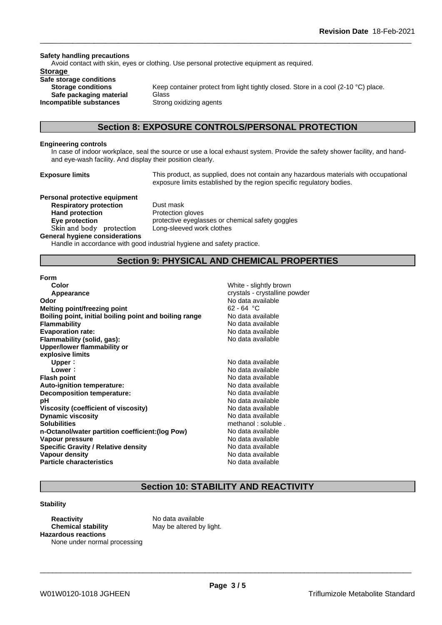#### **Safety handling precautions**

Avoid contact with skin, eyes or clothing. Use personal protective equipment as required.

#### **Storage**

**Safe storage conditions Safe packaging material** Glass **Incompatible substances** Strong oxidizing agents

**Storage conditions** Keep container protect from light tightly closed. Store in a cool (2-10 °C) place.

## **Section 8: EXPOSURE CONTROLS/PERSONAL PROTECTION**

#### **Engineering controls**

In case of indoor workplace, seal the source or use a local exhaust system. Provide the safety shower facility, and handand eye-wash facility. And display their position clearly.

**Exposure limits** This product, as supplied, does not contain any hazardous materials with occupational exposure limits established by the region specific regulatory bodies.

**Personal protective equipment Respiratory protection** Dust mask Hand protection **Protection** Protection gloves **Skinandbody protection** Long-sleeved work clothes

**Eye protection protective eyeglasses or chemical safety goggles** 

#### **General hygiene considerations**

Handle in accordance with good industrial hygiene and safety practice.

# **Section 9: PHYSICAL AND CHEMICAL PROPERTIES**

#### **Form**

| Color                                                  | White - slightly brown        |
|--------------------------------------------------------|-------------------------------|
| Appearance                                             | crystals - crystalline powder |
| Odor                                                   | No data available             |
| <b>Melting point/freezing point</b>                    | $62 - 64 °C$                  |
| Boiling point, initial boiling point and boiling range | No data available             |
| <b>Flammability</b>                                    | No data available             |
| <b>Evaporation rate:</b>                               | No data available             |
| Flammability (solid, gas):                             | No data available             |
| Upper/lower flammability or                            |                               |
| explosive limits                                       |                               |
| Upper:                                                 | No data available             |
| Lower:                                                 | No data available             |
| <b>Flash point</b>                                     | No data available             |
| Auto-ignition temperature:                             | No data available             |
| Decomposition temperature:                             | No data available             |
| рH                                                     | No data available             |
| Viscosity (coefficient of viscosity)                   | No data available             |
| <b>Dynamic viscosity</b>                               | No data available             |
| <b>Solubilities</b>                                    | methanol: soluble.            |
| n-Octanol/water partition coefficient: (log Pow)       | No data available             |
| Vapour pressure                                        | No data available             |
| <b>Specific Gravity / Relative density</b>             | No data available             |
| Vapour density                                         | No data available             |
| <b>Particle characteristics</b>                        | No data available             |
|                                                        |                               |

# **Section 10: STABILITY AND REACTIVITY**

#### **Stability**

**Reactivity** No data available **Chemical stability** May be altered by light. **Hazardous reactions** None under normal processing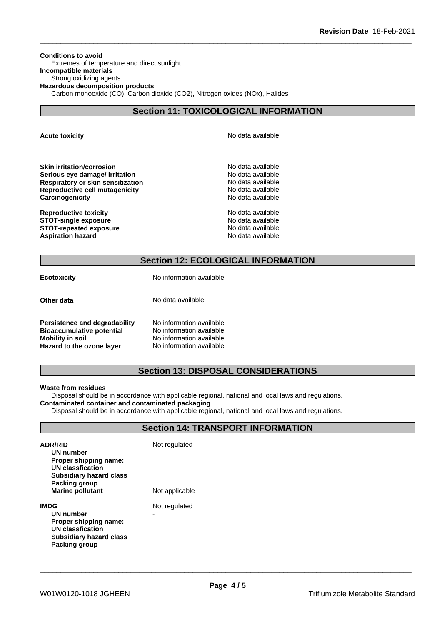**Conditions to avoid** Extremes of temperature and direct sunlight **Incompatible materials** Strong oxidizing agents **Hazardous decomposition products** Carbon monooxide (CO), Carbon dioxide (CO2), Nitrogen oxides (NOx), Halides

# **Section 11: TOXICOLOGICAL INFORMATION**

**Acute toxicity Acute toxicity Acute has a structure in the structure of**  $\mathbb{R}^n$  **No data available** 

**Skin irritation/corrosion** No data available **Serious eye damage/ irritation**<br> **Respiratory or skin sensitization**<br> **Respiratory or skin sensitization Respiratory or skin sensitization Reproductive cell mutagenicity** No data available **Carcinogenicity Carcinogenicity No data available** 

**Reproductive toxicity No data available** No data available **STOT-single exposure**  $\qquad \qquad \qquad$  No data available **STOT-repeated exposure** No data available **Aspiration hazard No data available No data available No data available** 

# **Section 12: ECOLOGICAL INFORMATION**

**Ecotoxicity** No information available

**Other data** No data available

**Persistence and degradability** No information available **Bioaccumulative potential** No information available **Mobility in soil**<br> **Hazard to the ozone layer** Mo information available **Hazard to the ozone layer** 

# **Section 13: DISPOSAL CONSIDERATIONS**

#### **Waste from residues**

Disposal should be in accordance with applicable regional, national and local laws and regulations. **Contaminated container and contaminated packaging**

Disposal should be in accordance with applicable regional, national and local laws and regulations.

# **Section 14: TRANSPORT INFORMATION**

| <b>ADR/RID</b><br>UN number<br>Proper shipping name:<br>UN classfication<br><b>Subsidiary hazard class</b><br>Packing group<br><b>Marine pollutant</b> | Not regulated<br>Not applicable |
|--------------------------------------------------------------------------------------------------------------------------------------------------------|---------------------------------|
| IMDG<br>UN number<br>Proper shipping name:<br>UN classfication<br><b>Subsidiary hazard class</b><br>Packing group                                      | Not regulated<br>-              |